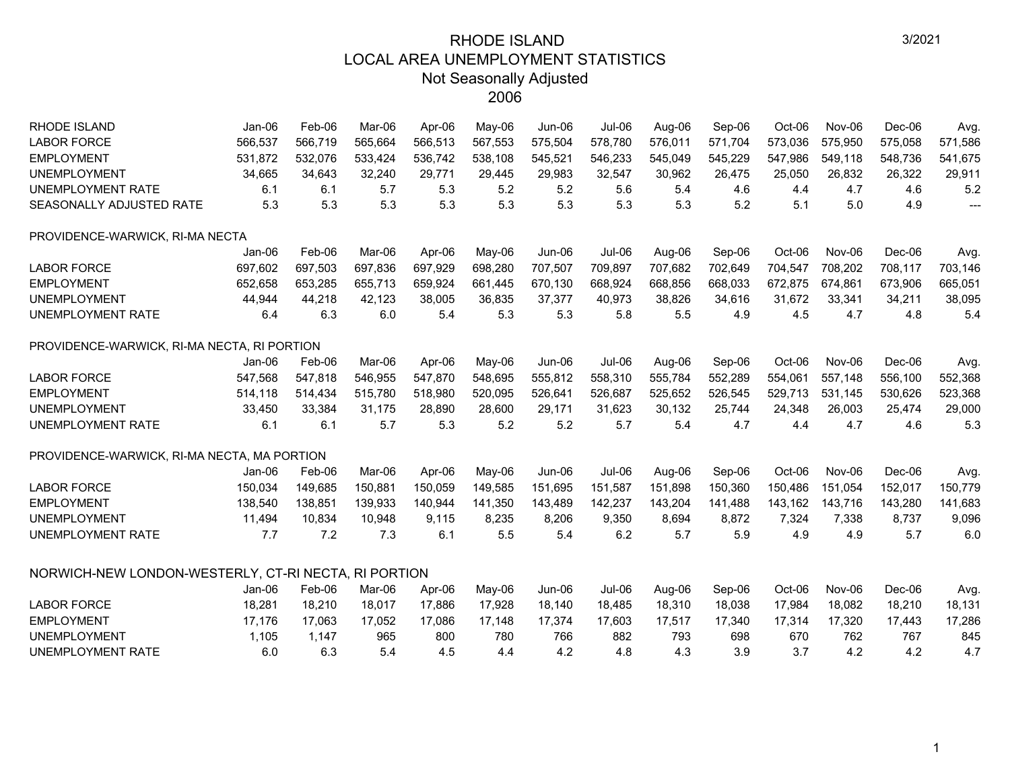| <b>RHODE ISLAND</b>                                  | Jan-06   | Feb-06  | Mar-06  | Apr-06  | May-06  | Jun-06   | Jul-06        | Aug-06  | Sep-06  | Oct-06  | <b>Nov-06</b> | Dec-06  | Avg.    |
|------------------------------------------------------|----------|---------|---------|---------|---------|----------|---------------|---------|---------|---------|---------------|---------|---------|
| <b>LABOR FORCE</b>                                   | 566,537  | 566,719 | 565,664 | 566,513 | 567,553 | 575,504  | 578,780       | 576,011 | 571,704 | 573,036 | 575,950       | 575,058 | 571,586 |
| <b>EMPLOYMENT</b>                                    | 531,872  | 532,076 | 533,424 | 536,742 | 538,108 | 545,521  | 546,233       | 545,049 | 545,229 | 547,986 | 549,118       | 548,736 | 541,675 |
| <b>UNEMPLOYMENT</b>                                  | 34,665   | 34,643  | 32,240  | 29,771  | 29,445  | 29,983   | 32,547        | 30,962  | 26,475  | 25,050  | 26,832        | 26,322  | 29,911  |
| <b>UNEMPLOYMENT RATE</b>                             | 6.1      | 6.1     | 5.7     | 5.3     | 5.2     | 5.2      | 5.6           | 5.4     | 4.6     | 4.4     | 4.7           | 4.6     | 5.2     |
| SEASONALLY ADJUSTED RATE                             | 5.3      | 5.3     | 5.3     | 5.3     | 5.3     | 5.3      | 5.3           | 5.3     | 5.2     | 5.1     | 5.0           | 4.9     | $---$   |
| PROVIDENCE-WARWICK, RI-MA NECTA                      |          |         |         |         |         |          |               |         |         |         |               |         |         |
|                                                      | $Jan-06$ | Feb-06  | Mar-06  | Apr-06  | May-06  | $Jun-06$ | <b>Jul-06</b> | Aug-06  | Sep-06  | Oct-06  | Nov-06        | Dec-06  | Avg.    |
| <b>LABOR FORCE</b>                                   | 697,602  | 697,503 | 697,836 | 697,929 | 698,280 | 707,507  | 709,897       | 707,682 | 702,649 | 704,547 | 708,202       | 708,117 | 703,146 |
| <b>EMPLOYMENT</b>                                    | 652,658  | 653,285 | 655,713 | 659,924 | 661,445 | 670,130  | 668,924       | 668,856 | 668,033 | 672,875 | 674,861       | 673,906 | 665,051 |
| <b>UNEMPLOYMENT</b>                                  | 44,944   | 44,218  | 42,123  | 38,005  | 36,835  | 37,377   | 40,973        | 38,826  | 34,616  | 31,672  | 33,341        | 34,211  | 38,095  |
| <b>UNEMPLOYMENT RATE</b>                             | 6.4      | 6.3     | 6.0     | 5.4     | 5.3     | 5.3      | 5.8           | 5.5     | 4.9     | 4.5     | 4.7           | 4.8     | 5.4     |
| PROVIDENCE-WARWICK, RI-MA NECTA, RI PORTION          |          |         |         |         |         |          |               |         |         |         |               |         |         |
|                                                      | Jan-06   | Feb-06  | Mar-06  | Apr-06  | May-06  | Jun-06   | Jul-06        | Aug-06  | Sep-06  | Oct-06  | Nov-06        | Dec-06  | Avg.    |
| <b>LABOR FORCE</b>                                   | 547,568  | 547,818 | 546,955 | 547,870 | 548,695 | 555,812  | 558,310       | 555,784 | 552,289 | 554,061 | 557,148       | 556,100 | 552,368 |
| <b>EMPLOYMENT</b>                                    | 514,118  | 514,434 | 515,780 | 518,980 | 520,095 | 526,641  | 526,687       | 525,652 | 526,545 | 529,713 | 531,145       | 530,626 | 523,368 |
| <b>UNEMPLOYMENT</b>                                  | 33,450   | 33,384  | 31,175  | 28,890  | 28,600  | 29,171   | 31,623        | 30,132  | 25,744  | 24,348  | 26,003        | 25,474  | 29,000  |
| <b>UNEMPLOYMENT RATE</b>                             | 6.1      | 6.1     | 5.7     | 5.3     | 5.2     | 5.2      | 5.7           | 5.4     | 4.7     | 4.4     | 4.7           | 4.6     | 5.3     |
| PROVIDENCE-WARWICK, RI-MA NECTA, MA PORTION          |          |         |         |         |         |          |               |         |         |         |               |         |         |
|                                                      | Jan-06   | Feb-06  | Mar-06  | Apr-06  | May-06  | Jun-06   | $Jul-06$      | Aug-06  | Sep-06  | Oct-06  | Nov-06        | Dec-06  | Avg.    |
| <b>LABOR FORCE</b>                                   | 150,034  | 149,685 | 150,881 | 150,059 | 149,585 | 151,695  | 151,587       | 151,898 | 150,360 | 150,486 | 151.054       | 152,017 | 150,779 |
| <b>EMPLOYMENT</b>                                    | 138,540  | 138,851 | 139,933 | 140,944 | 141,350 | 143,489  | 142,237       | 143,204 | 141,488 | 143,162 | 143,716       | 143,280 | 141,683 |
| <b>UNEMPLOYMENT</b>                                  | 11,494   | 10,834  | 10,948  | 9,115   | 8,235   | 8,206    | 9,350         | 8,694   | 8,872   | 7,324   | 7,338         | 8,737   | 9,096   |
| <b>UNEMPLOYMENT RATE</b>                             | 7.7      | 7.2     | 7.3     | 6.1     | 5.5     | 5.4      | 6.2           | 5.7     | 5.9     | 4.9     | 4.9           | 5.7     | 6.0     |
| NORWICH-NEW LONDON-WESTERLY, CT-RI NECTA, RI PORTION |          |         |         |         |         |          |               |         |         |         |               |         |         |
|                                                      | $Jan-06$ | Feb-06  | Mar-06  | Apr-06  | May-06  | Jun-06   | <b>Jul-06</b> | Aug-06  | Sep-06  | Oct-06  | Nov-06        | Dec-06  | Avg.    |
| <b>LABOR FORCE</b>                                   | 18,281   | 18,210  | 18,017  | 17,886  | 17,928  | 18,140   | 18,485        | 18,310  | 18,038  | 17,984  | 18,082        | 18,210  | 18,131  |
| <b>EMPLOYMENT</b>                                    | 17,176   | 17,063  | 17,052  | 17,086  | 17,148  | 17,374   | 17,603        | 17,517  | 17,340  | 17,314  | 17,320        | 17,443  | 17,286  |
| <b>UNEMPLOYMENT</b>                                  | 1,105    | 1,147   | 965     | 800     | 780     | 766      | 882           | 793     | 698     | 670     | 762           | 767     | 845     |
| <b>UNEMPLOYMENT RATE</b>                             | 6.0      | 6.3     | 5.4     | 4.5     | 4.4     | 4.2      | 4.8           | 4.3     | 3.9     | 3.7     | 4.2           | 4.2     | 4.7     |
|                                                      |          |         |         |         |         |          |               |         |         |         |               |         |         |

1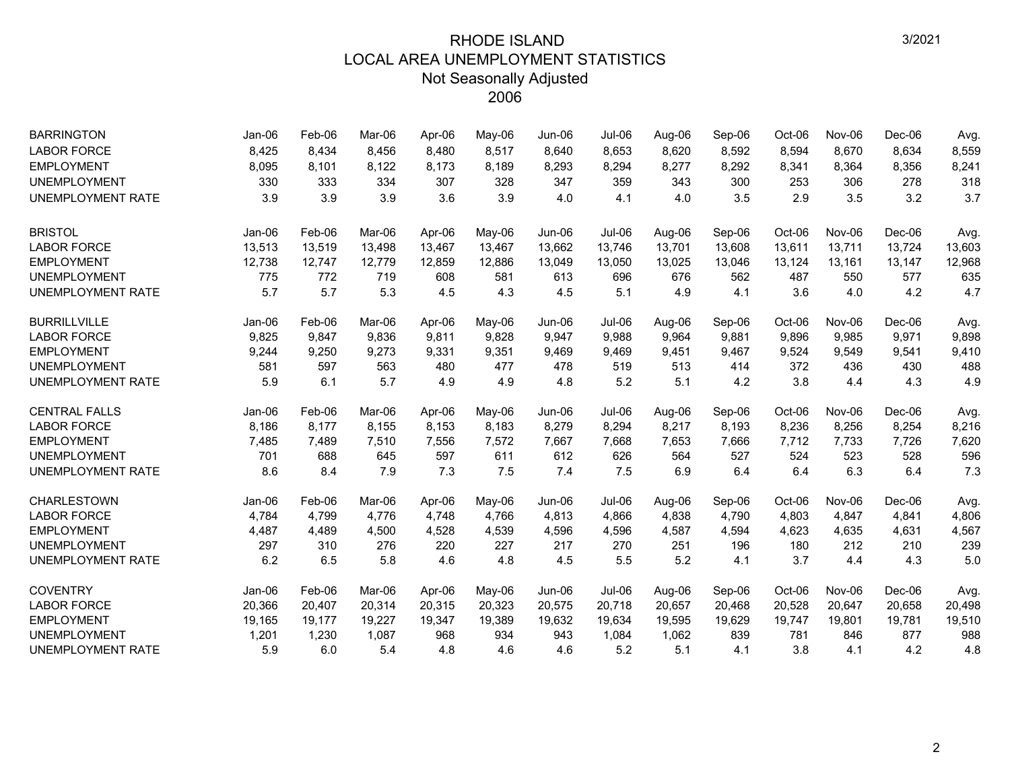| <b>BARRINGTON</b>        | Jan-06   | Feb-06 | Mar-06 | Apr-06 | May-06 | Jun-06 | Jul-06   | Aug-06 | Sep-06 | Oct-06 | Nov-06 | Dec-06   | Avg.   |
|--------------------------|----------|--------|--------|--------|--------|--------|----------|--------|--------|--------|--------|----------|--------|
| <b>LABOR FORCE</b>       | 8,425    | 8,434  | 8,456  | 8,480  | 8,517  | 8,640  | 8,653    | 8,620  | 8,592  | 8,594  | 8,670  | 8,634    | 8,559  |
| <b>EMPLOYMENT</b>        | 8,095    | 8,101  | 8,122  | 8,173  | 8,189  | 8,293  | 8,294    | 8,277  | 8,292  | 8,341  | 8,364  | 8,356    | 8,241  |
| <b>UNEMPLOYMENT</b>      | 330      | 333    | 334    | 307    | 328    | 347    | 359      | 343    | 300    | 253    | 306    | 278      | 318    |
| <b>UNEMPLOYMENT RATE</b> | 3.9      | 3.9    | 3.9    | 3.6    | 3.9    | 4.0    | 4.1      | 4.0    | 3.5    | 2.9    | 3.5    | 3.2      | 3.7    |
| <b>BRISTOL</b>           | $Jan-06$ | Feb-06 | Mar-06 | Apr-06 | May-06 | Jun-06 | $Jul-06$ | Aug-06 | Sep-06 | Oct-06 | Nov-06 | $Dec-06$ | Avg.   |
| <b>LABOR FORCE</b>       | 13,513   | 13,519 | 13,498 | 13,467 | 13,467 | 13,662 | 13,746   | 13,701 | 13,608 | 13,611 | 13,711 | 13,724   | 13,603 |
| <b>EMPLOYMENT</b>        | 12,738   | 12,747 | 12,779 | 12,859 | 12,886 | 13,049 | 13,050   | 13,025 | 13,046 | 13,124 | 13,161 | 13,147   | 12,968 |
| <b>UNEMPLOYMENT</b>      | 775      | 772    | 719    | 608    | 581    | 613    | 696      | 676    | 562    | 487    | 550    | 577      | 635    |
| <b>UNEMPLOYMENT RATE</b> | 5.7      | 5.7    | 5.3    | 4.5    | 4.3    | 4.5    | 5.1      | 4.9    | 4.1    | 3.6    | 4.0    | 4.2      | 4.7    |
| <b>BURRILLVILLE</b>      | Jan-06   | Feb-06 | Mar-06 | Apr-06 | May-06 | Jun-06 | Jul-06   | Aug-06 | Sep-06 | Oct-06 | Nov-06 | Dec-06   | Avg.   |
| <b>LABOR FORCE</b>       | 9,825    | 9,847  | 9.836  | 9,811  | 9,828  | 9,947  | 9,988    | 9.964  | 9.881  | 9,896  | 9,985  | 9,971    | 9,898  |
| <b>EMPLOYMENT</b>        | 9,244    | 9,250  | 9,273  | 9,331  | 9,351  | 9,469  | 9,469    | 9,451  | 9,467  | 9,524  | 9,549  | 9,541    | 9,410  |
| <b>UNEMPLOYMENT</b>      | 581      | 597    | 563    | 480    | 477    | 478    | 519      | 513    | 414    | 372    | 436    | 430      | 488    |
| <b>UNEMPLOYMENT RATE</b> | 5.9      | 6.1    | 5.7    | 4.9    | 4.9    | 4.8    | 5.2      | 5.1    | 4.2    | 3.8    | 4.4    | 4.3      | 4.9    |
| <b>CENTRAL FALLS</b>     | $Jan-06$ | Feb-06 | Mar-06 | Apr-06 | May-06 | Jun-06 | Jul-06   | Aug-06 | Sep-06 | Oct-06 | Nov-06 | $Dec-06$ | Avg.   |
| <b>LABOR FORCE</b>       | 8,186    | 8,177  | 8,155  | 8,153  | 8,183  | 8,279  | 8,294    | 8,217  | 8,193  | 8,236  | 8,256  | 8,254    | 8,216  |
| <b>EMPLOYMENT</b>        | 7,485    | 7,489  | 7,510  | 7,556  | 7,572  | 7,667  | 7,668    | 7,653  | 7,666  | 7,712  | 7,733  | 7,726    | 7,620  |
| <b>UNEMPLOYMENT</b>      | 701      | 688    | 645    | 597    | 611    | 612    | 626      | 564    | 527    | 524    | 523    | 528      | 596    |
| <b>UNEMPLOYMENT RATE</b> | 8.6      | 8.4    | 7.9    | 7.3    | 7.5    | 7.4    | 7.5      | 6.9    | 6.4    | 6.4    | 6.3    | 6.4      | 7.3    |
| <b>CHARLESTOWN</b>       | $Jan-06$ | Feb-06 | Mar-06 | Apr-06 | May-06 | Jun-06 | Jul-06   | Aug-06 | Sep-06 | Oct-06 | Nov-06 | Dec-06   | Avg.   |
| <b>LABOR FORCE</b>       | 4,784    | 4,799  | 4.776  | 4,748  | 4,766  | 4,813  | 4,866    | 4,838  | 4,790  | 4,803  | 4,847  | 4,841    | 4,806  |
| <b>EMPLOYMENT</b>        | 4,487    | 4,489  | 4,500  | 4,528  | 4,539  | 4,596  | 4,596    | 4,587  | 4,594  | 4,623  | 4,635  | 4,631    | 4,567  |
| <b>UNEMPLOYMENT</b>      | 297      | 310    | 276    | 220    | 227    | 217    | 270      | 251    | 196    | 180    | 212    | 210      | 239    |
| <b>UNEMPLOYMENT RATE</b> | 6.2      | 6.5    | 5.8    | 4.6    | 4.8    | 4.5    | 5.5      | 5.2    | 4.1    | 3.7    | 4.4    | 4.3      | 5.0    |
| <b>COVENTRY</b>          | Jan-06   | Feb-06 | Mar-06 | Apr-06 | May-06 | Jun-06 | Jul-06   | Aug-06 | Sep-06 | Oct-06 | Nov-06 | Dec-06   | Avg.   |
| <b>LABOR FORCE</b>       | 20,366   | 20,407 | 20,314 | 20,315 | 20,323 | 20,575 | 20,718   | 20,657 | 20,468 | 20,528 | 20,647 | 20,658   | 20,498 |
| <b>EMPLOYMENT</b>        | 19,165   | 19,177 | 19,227 | 19,347 | 19,389 | 19,632 | 19,634   | 19,595 | 19,629 | 19,747 | 19,801 | 19,781   | 19,510 |
| <b>UNEMPLOYMENT</b>      | 1,201    | 1,230  | 1,087  | 968    | 934    | 943    | 1,084    | 1,062  | 839    | 781    | 846    | 877      | 988    |
| <b>UNEMPLOYMENT RATE</b> | 5.9      | 6.0    | 5.4    | 4.8    | 4.6    | 4.6    | 5.2      | 5.1    | 4.1    | 3.8    | 4.1    | 4.2      | 4.8    |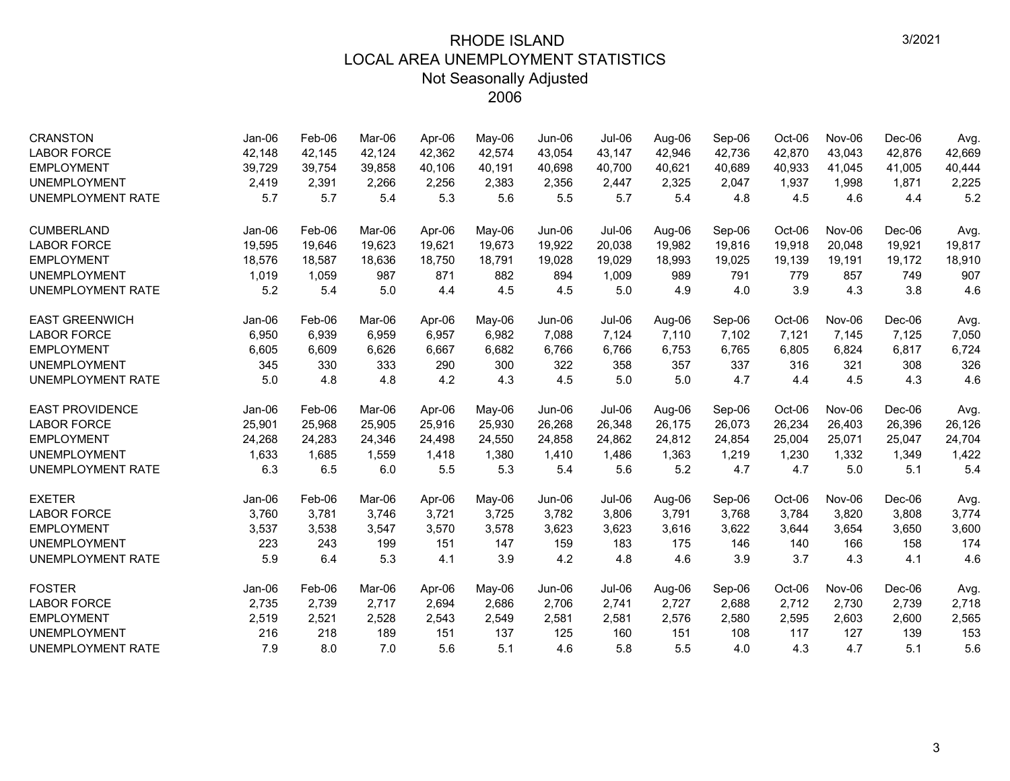| <b>CRANSTON</b>          | Jan-06 | Feb-06 | Mar-06 | Apr-06 | May-06 | Jun-06        | <b>Jul-06</b> | Aug-06 | Sep-06 | Oct-06 | Nov-06 | Dec-06   | Avg.   |
|--------------------------|--------|--------|--------|--------|--------|---------------|---------------|--------|--------|--------|--------|----------|--------|
| <b>LABOR FORCE</b>       | 42,148 | 42,145 | 42.124 | 42,362 | 42,574 | 43,054        | 43,147        | 42,946 | 42,736 | 42,870 | 43,043 | 42.876   | 42,669 |
| <b>EMPLOYMENT</b>        | 39,729 | 39,754 | 39,858 | 40,106 | 40,191 | 40,698        | 40,700        | 40,621 | 40,689 | 40,933 | 41,045 | 41,005   | 40,444 |
| <b>UNEMPLOYMENT</b>      | 2,419  | 2,391  | 2,266  | 2,256  | 2,383  | 2,356         | 2,447         | 2,325  | 2,047  | 1,937  | 1,998  | 1,871    | 2,225  |
| <b>UNEMPLOYMENT RATE</b> | 5.7    | 5.7    | 5.4    | 5.3    | 5.6    | 5.5           | 5.7           | 5.4    | 4.8    | 4.5    | 4.6    | 4.4      | 5.2    |
| <b>CUMBERLAND</b>        | Jan-06 | Feb-06 | Mar-06 | Apr-06 | May-06 | Jun-06        | Jul-06        | Aug-06 | Sep-06 | Oct-06 | Nov-06 | Dec-06   | Avg.   |
| <b>LABOR FORCE</b>       | 19,595 | 19,646 | 19.623 | 19.621 | 19,673 | 19,922        | 20,038        | 19,982 | 19,816 | 19,918 | 20.048 | 19,921   | 19,817 |
| <b>EMPLOYMENT</b>        | 18,576 | 18,587 | 18,636 | 18,750 | 18,791 | 19,028        | 19,029        | 18,993 | 19,025 | 19,139 | 19,191 | 19,172   | 18,910 |
| <b>UNEMPLOYMENT</b>      | 1,019  | 1,059  | 987    | 871    | 882    | 894           | 1,009         | 989    | 791    | 779    | 857    | 749      | 907    |
| <b>UNEMPLOYMENT RATE</b> | 5.2    | 5.4    | 5.0    | 4.4    | 4.5    | 4.5           | 5.0           | 4.9    | 4.0    | 3.9    | 4.3    | 3.8      | 4.6    |
| <b>EAST GREENWICH</b>    | Jan-06 | Feb-06 | Mar-06 | Apr-06 | May-06 | <b>Jun-06</b> | Jul-06        | Aug-06 | Sep-06 | Oct-06 | Nov-06 | Dec-06   | Avg.   |
| <b>LABOR FORCE</b>       | 6,950  | 6,939  | 6,959  | 6,957  | 6,982  | 7,088         | 7,124         | 7,110  | 7,102  | 7,121  | 7,145  | 7,125    | 7,050  |
| <b>EMPLOYMENT</b>        | 6,605  | 6,609  | 6,626  | 6,667  | 6,682  | 6,766         | 6,766         | 6,753  | 6,765  | 6,805  | 6,824  | 6,817    | 6,724  |
| <b>UNEMPLOYMENT</b>      | 345    | 330    | 333    | 290    | 300    | 322           | 358           | 357    | 337    | 316    | 321    | 308      | 326    |
| <b>UNEMPLOYMENT RATE</b> | 5.0    | 4.8    | 4.8    | 4.2    | 4.3    | 4.5           | 5.0           | 5.0    | 4.7    | 4.4    | 4.5    | 4.3      | 4.6    |
| <b>EAST PROVIDENCE</b>   | Jan-06 | Feb-06 | Mar-06 | Apr-06 | May-06 | Jun-06        | Jul-06        | Aug-06 | Sep-06 | Oct-06 | Nov-06 | $Dec-06$ | Avg.   |
| <b>LABOR FORCE</b>       | 25,901 | 25,968 | 25,905 | 25,916 | 25,930 | 26,268        | 26,348        | 26,175 | 26,073 | 26,234 | 26,403 | 26,396   | 26,126 |
| <b>EMPLOYMENT</b>        | 24,268 | 24,283 | 24,346 | 24,498 | 24,550 | 24,858        | 24,862        | 24,812 | 24,854 | 25,004 | 25,071 | 25,047   | 24,704 |
| <b>UNEMPLOYMENT</b>      | 1,633  | 1,685  | 1,559  | 1,418  | 1,380  | 1,410         | 1,486         | 1,363  | 1,219  | 1,230  | 1,332  | 1,349    | 1,422  |
| UNEMPLOYMENT RATE        | 6.3    | 6.5    | 6.0    | 5.5    | 5.3    | 5.4           | 5.6           | 5.2    | 4.7    | 4.7    | 5.0    | 5.1      | 5.4    |
| <b>EXETER</b>            | Jan-06 | Feb-06 | Mar-06 | Apr-06 | May-06 | Jun-06        | Jul-06        | Aug-06 | Sep-06 | Oct-06 | Nov-06 | Dec-06   | Avg.   |
| <b>LABOR FORCE</b>       | 3,760  | 3,781  | 3,746  | 3,721  | 3,725  | 3,782         | 3,806         | 3,791  | 3,768  | 3,784  | 3,820  | 3,808    | 3,774  |
| <b>EMPLOYMENT</b>        | 3,537  | 3.538  | 3,547  | 3,570  | 3,578  | 3,623         | 3,623         | 3.616  | 3,622  | 3,644  | 3,654  | 3,650    | 3,600  |
| <b>UNEMPLOYMENT</b>      | 223    | 243    | 199    | 151    | 147    | 159           | 183           | 175    | 146    | 140    | 166    | 158      | 174    |
| <b>UNEMPLOYMENT RATE</b> | 5.9    | 6.4    | 5.3    | 4.1    | 3.9    | 4.2           | 4.8           | 4.6    | 3.9    | 3.7    | 4.3    | 4.1      | 4.6    |
| <b>FOSTER</b>            | Jan-06 | Feb-06 | Mar-06 | Apr-06 | May-06 | <b>Jun-06</b> | Jul-06        | Aug-06 | Sep-06 | Oct-06 | Nov-06 | $Dec-06$ | Avg.   |
| <b>LABOR FORCE</b>       | 2,735  | 2,739  | 2,717  | 2,694  | 2,686  | 2,706         | 2,741         | 2,727  | 2,688  | 2,712  | 2,730  | 2,739    | 2,718  |
| <b>EMPLOYMENT</b>        | 2,519  | 2,521  | 2,528  | 2,543  | 2,549  | 2,581         | 2,581         | 2,576  | 2,580  | 2,595  | 2,603  | 2,600    | 2,565  |
| <b>UNEMPLOYMENT</b>      | 216    | 218    | 189    | 151    | 137    | 125           | 160           | 151    | 108    | 117    | 127    | 139      | 153    |
| <b>UNEMPLOYMENT RATE</b> | 7.9    | 8.0    | 7.0    | 5.6    | 5.1    | 4.6           | 5.8           | 5.5    | 4.0    | 4.3    | 4.7    | 5.1      | 5.6    |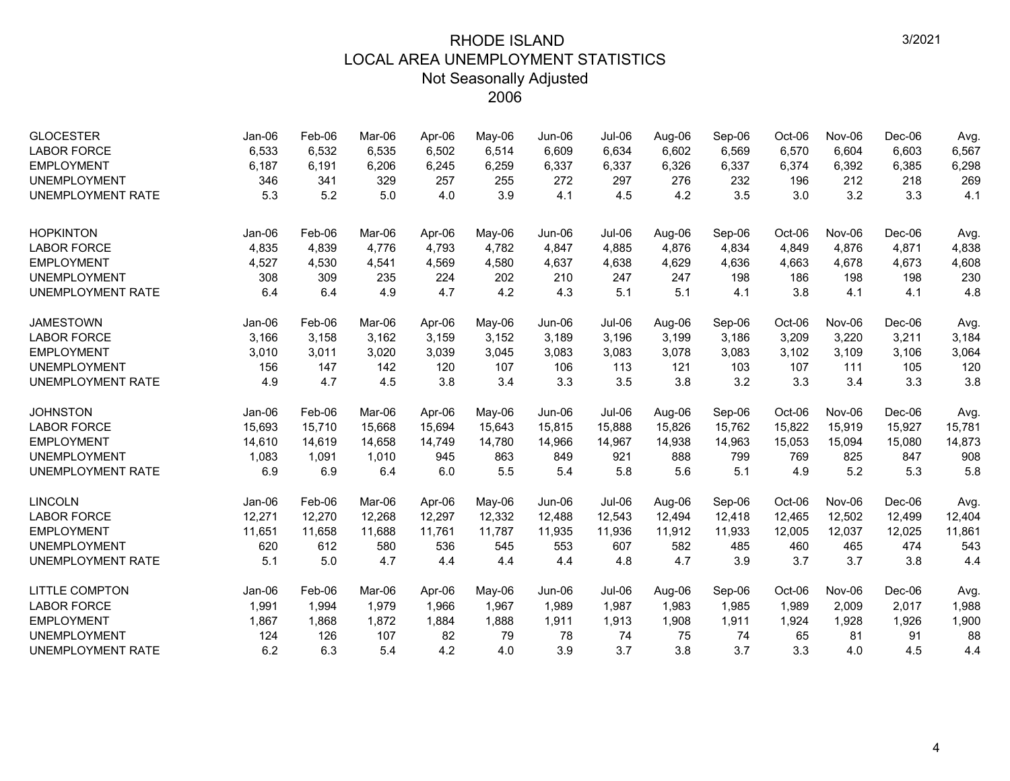| <b>GLOCESTER</b><br><b>LABOR FORCE</b> | Jan-06<br>6,533 | Feb-06<br>6,532 | Mar-06<br>6,535 | Apr-06<br>6,502 | May-06<br>6,514 | Jun-06<br>6,609 | Jul-06<br>6,634 | Aug-06<br>6,602 | Sep-06<br>6,569 | Oct-06<br>6,570 | Nov-06<br>6,604 | Dec-06<br>6,603 | Avg.<br>6,567 |
|----------------------------------------|-----------------|-----------------|-----------------|-----------------|-----------------|-----------------|-----------------|-----------------|-----------------|-----------------|-----------------|-----------------|---------------|
| <b>EMPLOYMENT</b>                      | 6,187           | 6,191           | 6,206           | 6,245           | 6,259           | 6,337           | 6,337           | 6,326           | 6,337           | 6,374           | 6,392           | 6,385           | 6,298         |
| <b>UNEMPLOYMENT</b>                    | 346             | 341             | 329             | 257             | 255             | 272             | 297             | 276             | 232             | 196             | 212             | 218             | 269           |
| <b>UNEMPLOYMENT RATE</b>               | 5.3             | 5.2             | 5.0             | 4.0             | 3.9             | 4.1             | 4.5             | 4.2             | 3.5             | 3.0             | 3.2             | 3.3             | 4.1           |
|                                        |                 |                 |                 |                 |                 |                 |                 |                 |                 |                 |                 |                 |               |
| <b>HOPKINTON</b>                       | Jan-06          | Feb-06          | Mar-06          | Apr-06          | May-06          | Jun-06          | Jul-06          | Aug-06          | Sep-06          | Oct-06          | Nov-06          | Dec-06          | Avg.          |
| <b>LABOR FORCE</b>                     | 4,835           | 4,839           | 4,776           | 4,793           | 4,782           | 4,847           | 4,885           | 4,876           | 4,834           | 4,849           | 4,876           | 4,871           | 4,838         |
| <b>EMPLOYMENT</b>                      | 4,527           | 4,530           | 4,541           | 4,569           | 4,580           | 4,637           | 4,638           | 4,629           | 4,636           | 4,663           | 4,678           | 4,673           | 4,608         |
| <b>UNEMPLOYMENT</b>                    | 308             | 309             | 235             | 224             | 202             | 210             | 247             | 247             | 198             | 186             | 198             | 198             | 230           |
| <b>UNEMPLOYMENT RATE</b>               | 6.4             | 6.4             | 4.9             | 4.7             | 4.2             | 4.3             | 5.1             | 5.1             | 4.1             | 3.8             | 4.1             | 4.1             | 4.8           |
| <b>JAMESTOWN</b>                       | Jan-06          | Feb-06          | Mar-06          | Apr-06          | May-06          | Jun-06          | Jul-06          | Aug-06          | Sep-06          | Oct-06          | Nov-06          | $Dec-06$        | Avg.          |
| <b>LABOR FORCE</b>                     | 3,166           | 3,158           | 3,162           | 3,159           | 3,152           | 3,189           | 3,196           | 3,199           | 3,186           | 3,209           | 3,220           | 3,211           | 3,184         |
| <b>EMPLOYMENT</b>                      | 3,010           | 3,011           | 3,020           | 3,039           | 3,045           | 3,083           | 3,083           | 3,078           | 3,083           | 3,102           | 3,109           | 3,106           | 3,064         |
| <b>UNEMPLOYMENT</b>                    | 156             | 147             | 142             | 120             | 107             | 106             | 113             | 121             | 103             | 107             | 111             | 105             | 120           |
| <b>UNEMPLOYMENT RATE</b>               | 4.9             | 4.7             | 4.5             | 3.8             | 3.4             | 3.3             | 3.5             | 3.8             | 3.2             | 3.3             | 3.4             | 3.3             | 3.8           |
| <b>JOHNSTON</b>                        | Jan-06          | Feb-06          | Mar-06          | Apr-06          | May-06          | Jun-06          | Jul-06          | Aug-06          | Sep-06          | Oct-06          | Nov-06          | Dec-06          | Avg.          |
| <b>LABOR FORCE</b>                     | 15,693          | 15,710          | 15,668          | 15,694          | 15,643          | 15,815          | 15,888          | 15,826          | 15,762          | 15,822          | 15,919          | 15,927          | 15,781        |
| <b>EMPLOYMENT</b>                      | 14,610          | 14,619          | 14,658          | 14,749          | 14,780          | 14,966          | 14,967          | 14,938          | 14,963          | 15,053          | 15,094          | 15,080          | 14,873        |
| <b>UNEMPLOYMENT</b>                    | 1,083           | 1,091           | 1,010           | 945             | 863             | 849             | 921             | 888             | 799             | 769             | 825             | 847             | 908           |
| <b>UNEMPLOYMENT RATE</b>               | 6.9             | 6.9             | 6.4             | 6.0             | 5.5             | 5.4             | 5.8             | 5.6             | 5.1             | 4.9             | 5.2             | 5.3             | 5.8           |
| <b>LINCOLN</b>                         | Jan-06          | Feb-06          | Mar-06          | Apr-06          | May-06          | Jun-06          | Jul-06          | Aug-06          | Sep-06          | Oct-06          | <b>Nov-06</b>   | $Dec-06$        | Avg.          |
| <b>LABOR FORCE</b>                     | 12,271          | 12,270          | 12,268          | 12,297          | 12,332          | 12,488          | 12,543          | 12,494          | 12,418          | 12,465          | 12,502          | 12,499          | 12,404        |
| <b>EMPLOYMENT</b>                      | 11,651          | 11,658          | 11,688          | 11,761          | 11,787          | 11,935          | 11,936          | 11,912          | 11,933          | 12,005          | 12,037          | 12,025          | 11,861        |
| <b>UNEMPLOYMENT</b>                    | 620             | 612             | 580             | 536             | 545             | 553             | 607             | 582             | 485             | 460             | 465             | 474             | 543           |
| <b>UNEMPLOYMENT RATE</b>               | 5.1             | 5.0             | 4.7             | 4.4             | 4.4             | 4.4             | 4.8             | 4.7             | 3.9             | 3.7             | 3.7             | 3.8             | 4.4           |
| <b>LITTLE COMPTON</b>                  | $Jan-06$        | Feb-06          | Mar-06          | Apr-06          | May-06          | $Jun-06$        | Jul-06          | Aug-06          | Sep-06          | Oct-06          | Nov-06          | $Dec-06$        | Avg.          |
| <b>LABOR FORCE</b>                     | 1,991           | 1,994           | 1,979           | 1,966           | 1,967           | 1,989           | 1,987           | 1,983           | 1,985           | 1,989           | 2,009           | 2,017           | 1,988         |
| <b>EMPLOYMENT</b>                      | 1,867           | 1,868           | 1,872           | 1,884           | 1,888           | 1,911           | 1,913           | 1,908           | 1,911           | 1,924           | 1,928           | 1,926           | 1,900         |
| <b>UNEMPLOYMENT</b>                    | 124             | 126             | 107             | 82              | 79              | 78              | 74              | 75              | 74              | 65              | 81              | 91              | 88            |
| <b>UNEMPLOYMENT RATE</b>               | 6.2             | 6.3             | 5.4             | 4.2             | 4.0             | 3.9             | 3.7             | 3.8             | 3.7             | 3.3             | 4.0             | 4.5             | 4.4           |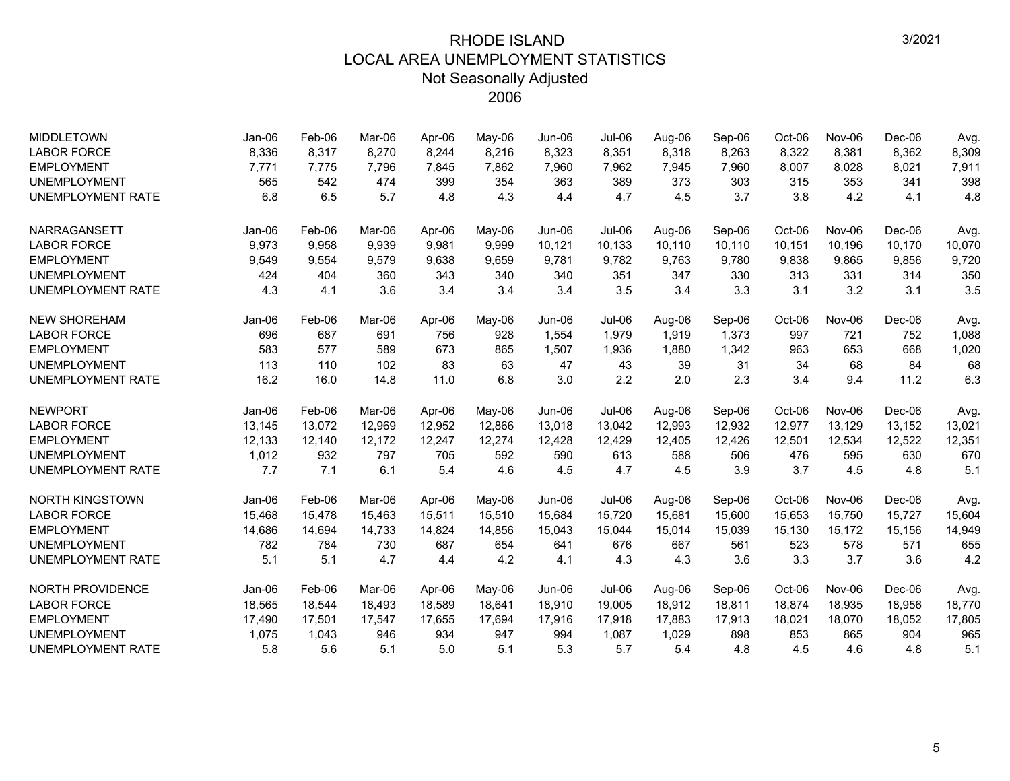| <b>MIDDLETOWN</b>        | Jan-06 | Feb-06 | Mar-06 | Apr-06 | May-06 | Jun-06 | Jul-06 | Aug-06 | Sep-06 | Oct-06 | Nov-06 | Dec-06   | Avg.   |
|--------------------------|--------|--------|--------|--------|--------|--------|--------|--------|--------|--------|--------|----------|--------|
| <b>LABOR FORCE</b>       | 8,336  | 8,317  | 8,270  | 8,244  | 8,216  | 8,323  | 8,351  | 8,318  | 8,263  | 8,322  | 8,381  | 8,362    | 8,309  |
| <b>EMPLOYMENT</b>        | 7,771  | 7.775  | 7,796  | 7,845  | 7,862  | 7,960  | 7,962  | 7,945  | 7,960  | 8,007  | 8,028  | 8,021    | 7,911  |
| <b>UNEMPLOYMENT</b>      | 565    | 542    | 474    | 399    | 354    | 363    | 389    | 373    | 303    | 315    | 353    | 341      | 398    |
| <b>UNEMPLOYMENT RATE</b> | 6.8    | 6.5    | 5.7    | 4.8    | 4.3    | 4.4    | 4.7    | 4.5    | 3.7    | 3.8    | 4.2    | 4.1      | 4.8    |
| <b>NARRAGANSETT</b>      | Jan-06 | Feb-06 | Mar-06 | Apr-06 | May-06 | Jun-06 | Jul-06 | Aug-06 | Sep-06 | Oct-06 | Nov-06 | $Dec-06$ | Avg.   |
| <b>LABOR FORCE</b>       | 9,973  | 9,958  | 9,939  | 9,981  | 9,999  | 10,121 | 10,133 | 10,110 | 10,110 | 10,151 | 10,196 | 10,170   | 10,070 |
| <b>EMPLOYMENT</b>        | 9,549  | 9,554  | 9.579  | 9,638  | 9,659  | 9.781  | 9,782  | 9,763  | 9,780  | 9,838  | 9,865  | 9,856    | 9,720  |
| <b>UNEMPLOYMENT</b>      | 424    | 404    | 360    | 343    | 340    | 340    | 351    | 347    | 330    | 313    | 331    | 314      | 350    |
| <b>UNEMPLOYMENT RATE</b> | 4.3    | 4.1    | 3.6    | 3.4    | 3.4    | 3.4    | 3.5    | 3.4    | 3.3    | 3.1    | 3.2    | 3.1      | 3.5    |
| <b>NEW SHOREHAM</b>      | Jan-06 | Feb-06 | Mar-06 | Apr-06 | May-06 | Jun-06 | Jul-06 | Aug-06 | Sep-06 | Oct-06 | Nov-06 | Dec-06   | Avg.   |
| <b>LABOR FORCE</b>       | 696    | 687    | 691    | 756    | 928    | 1,554  | 1,979  | 1,919  | 1,373  | 997    | 721    | 752      | 1,088  |
| <b>EMPLOYMENT</b>        | 583    | 577    | 589    | 673    | 865    | 1,507  | 1,936  | 1,880  | 1,342  | 963    | 653    | 668      | 1,020  |
| <b>UNEMPLOYMENT</b>      | 113    | 110    | 102    | 83     | 63     | 47     | 43     | 39     | 31     | 34     | 68     | 84       | 68     |
| <b>UNEMPLOYMENT RATE</b> | 16.2   | 16.0   | 14.8   | 11.0   | 6.8    | 3.0    | 2.2    | 2.0    | 2.3    | 3.4    | 9.4    | 11.2     | 6.3    |
| <b>NEWPORT</b>           | Jan-06 | Feb-06 | Mar-06 | Apr-06 | May-06 | Jun-06 | Jul-06 | Aug-06 | Sep-06 | Oct-06 | Nov-06 | $Dec-06$ | Avg.   |
| <b>LABOR FORCE</b>       | 13,145 | 13,072 | 12,969 | 12,952 | 12,866 | 13,018 | 13,042 | 12,993 | 12,932 | 12,977 | 13,129 | 13,152   | 13,021 |
| <b>EMPLOYMENT</b>        | 12,133 | 12,140 | 12,172 | 12,247 | 12,274 | 12,428 | 12,429 | 12,405 | 12,426 | 12,501 | 12,534 | 12,522   | 12,351 |
| <b>UNEMPLOYMENT</b>      | 1,012  | 932    | 797    | 705    | 592    | 590    | 613    | 588    | 506    | 476    | 595    | 630      | 670    |
| <b>UNEMPLOYMENT RATE</b> | 7.7    | 7.1    | 6.1    | 5.4    | 4.6    | 4.5    | 4.7    | 4.5    | 3.9    | 3.7    | 4.5    | 4.8      | 5.1    |
| <b>NORTH KINGSTOWN</b>   | Jan-06 | Feb-06 | Mar-06 | Apr-06 | May-06 | Jun-06 | Jul-06 | Aug-06 | Sep-06 | Oct-06 | Nov-06 | Dec-06   | Avg.   |
| <b>LABOR FORCE</b>       | 15,468 | 15,478 | 15.463 | 15,511 | 15,510 | 15,684 | 15.720 | 15,681 | 15,600 | 15,653 | 15,750 | 15,727   | 15,604 |
| <b>EMPLOYMENT</b>        | 14,686 | 14,694 | 14,733 | 14,824 | 14,856 | 15,043 | 15,044 | 15,014 | 15,039 | 15,130 | 15,172 | 15,156   | 14,949 |
| <b>UNEMPLOYMENT</b>      | 782    | 784    | 730    | 687    | 654    | 641    | 676    | 667    | 561    | 523    | 578    | 571      | 655    |
| <b>UNEMPLOYMENT RATE</b> | 5.1    | 5.1    | 4.7    | 4.4    | 4.2    | 4.1    | 4.3    | 4.3    | 3.6    | 3.3    | 3.7    | 3.6      | 4.2    |
| NORTH PROVIDENCE         | Jan-06 | Feb-06 | Mar-06 | Apr-06 | May-06 | Jun-06 | Jul-06 | Aug-06 | Sep-06 | Oct-06 | Nov-06 | $Dec-06$ | Avg.   |
| <b>LABOR FORCE</b>       | 18,565 | 18,544 | 18,493 | 18,589 | 18,641 | 18,910 | 19,005 | 18,912 | 18,811 | 18,874 | 18,935 | 18,956   | 18,770 |
| <b>EMPLOYMENT</b>        | 17,490 | 17,501 | 17,547 | 17,655 | 17,694 | 17,916 | 17,918 | 17,883 | 17,913 | 18,021 | 18,070 | 18,052   | 17,805 |
| <b>UNEMPLOYMENT</b>      | 1,075  | 1,043  | 946    | 934    | 947    | 994    | 1,087  | 1,029  | 898    | 853    | 865    | 904      | 965    |
| <b>UNEMPLOYMENT RATE</b> | 5.8    | 5.6    | 5.1    | 5.0    | 5.1    | 5.3    | 5.7    | 5.4    | 4.8    | 4.5    | 4.6    | 4.8      | 5.1    |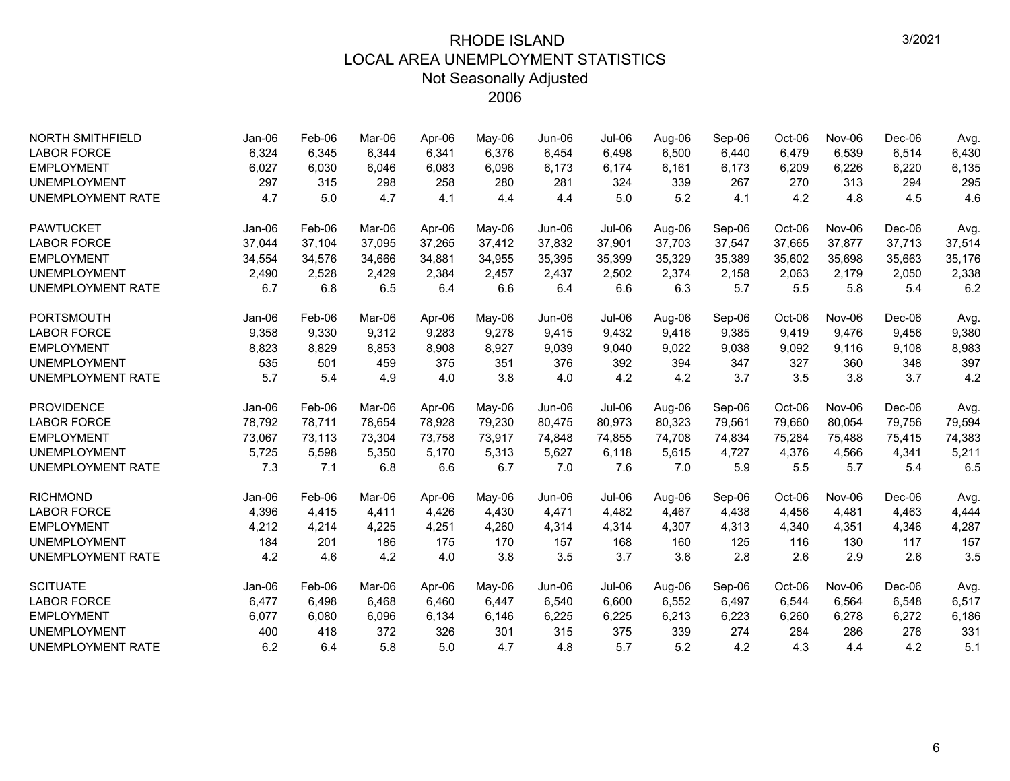| <b>NORTH SMITHFIELD</b>  | Jan-06   | Feb-06 | Mar-06 | Apr-06 | May-06 | Jun-06        | Jul-06        | Aug-06 | Sep-06 | Oct-06 | Nov-06 | $Dec-06$ | Avg.   |
|--------------------------|----------|--------|--------|--------|--------|---------------|---------------|--------|--------|--------|--------|----------|--------|
| <b>LABOR FORCE</b>       | 6,324    | 6,345  | 6.344  | 6,341  | 6,376  | 6,454         | 6,498         | 6,500  | 6,440  | 6,479  | 6,539  | 6,514    | 6,430  |
| <b>EMPLOYMENT</b>        | 6,027    | 6,030  | 6,046  | 6,083  | 6,096  | 6,173         | 6,174         | 6,161  | 6,173  | 6,209  | 6,226  | 6,220    | 6,135  |
| <b>UNEMPLOYMENT</b>      | 297      | 315    | 298    | 258    | 280    | 281           | 324           | 339    | 267    | 270    | 313    | 294      | 295    |
| <b>UNEMPLOYMENT RATE</b> | 4.7      | 5.0    | 4.7    | 4.1    | 4.4    | 4.4           | 5.0           | 5.2    | 4.1    | 4.2    | 4.8    | 4.5      | 4.6    |
| <b>PAWTUCKET</b>         | $Jan-06$ | Feb-06 | Mar-06 | Apr-06 | May-06 | Jun-06        | <b>Jul-06</b> | Aug-06 | Sep-06 | Oct-06 | Nov-06 | Dec-06   | Avg.   |
| <b>LABOR FORCE</b>       | 37,044   | 37,104 | 37,095 | 37,265 | 37,412 | 37,832        | 37,901        | 37,703 | 37,547 | 37,665 | 37,877 | 37,713   | 37,514 |
| <b>EMPLOYMENT</b>        | 34,554   | 34,576 | 34,666 | 34,881 | 34,955 | 35,395        | 35,399        | 35,329 | 35,389 | 35,602 | 35,698 | 35,663   | 35,176 |
| <b>UNEMPLOYMENT</b>      | 2,490    | 2,528  | 2,429  | 2,384  | 2,457  | 2,437         | 2,502         | 2,374  | 2,158  | 2,063  | 2,179  | 2,050    | 2,338  |
| <b>UNEMPLOYMENT RATE</b> | 6.7      | 6.8    | 6.5    | 6.4    | 6.6    | 6.4           | 6.6           | 6.3    | 5.7    | 5.5    | 5.8    | 5.4      | 6.2    |
| PORTSMOUTH               | Jan-06   | Feb-06 | Mar-06 | Apr-06 | May-06 | <b>Jun-06</b> | Jul-06        | Aug-06 | Sep-06 | Oct-06 | Nov-06 | Dec-06   | Avg.   |
| <b>LABOR FORCE</b>       | 9,358    | 9,330  | 9,312  | 9,283  | 9,278  | 9,415         | 9,432         | 9,416  | 9,385  | 9,419  | 9,476  | 9,456    | 9,380  |
| <b>EMPLOYMENT</b>        | 8,823    | 8,829  | 8,853  | 8,908  | 8,927  | 9,039         | 9,040         | 9,022  | 9,038  | 9,092  | 9,116  | 9,108    | 8,983  |
| <b>UNEMPLOYMENT</b>      | 535      | 501    | 459    | 375    | 351    | 376           | 392           | 394    | 347    | 327    | 360    | 348      | 397    |
| <b>UNEMPLOYMENT RATE</b> | 5.7      | 5.4    | 4.9    | 4.0    | 3.8    | 4.0           | 4.2           | 4.2    | 3.7    | 3.5    | 3.8    | 3.7      | 4.2    |
| <b>PROVIDENCE</b>        | Jan-06   | Feb-06 | Mar-06 | Apr-06 | May-06 | Jun-06        | Jul-06        | Aug-06 | Sep-06 | Oct-06 | Nov-06 | Dec-06   | Avg.   |
| <b>LABOR FORCE</b>       | 78,792   | 78,711 | 78,654 | 78,928 | 79,230 | 80,475        | 80,973        | 80,323 | 79,561 | 79,660 | 80,054 | 79,756   | 79,594 |
| <b>EMPLOYMENT</b>        | 73,067   | 73,113 | 73.304 | 73,758 | 73,917 | 74,848        | 74,855        | 74,708 | 74,834 | 75,284 | 75,488 | 75,415   | 74,383 |
| <b>UNEMPLOYMENT</b>      | 5,725    | 5,598  | 5,350  | 5,170  | 5,313  | 5,627         | 6,118         | 5,615  | 4,727  | 4,376  | 4,566  | 4,341    | 5,211  |
| <b>UNEMPLOYMENT RATE</b> | 7.3      | 7.1    | 6.8    | 6.6    | 6.7    | 7.0           | 7.6           | 7.0    | 5.9    | 5.5    | 5.7    | 5.4      | 6.5    |
| <b>RICHMOND</b>          | Jan-06   | Feb-06 | Mar-06 | Apr-06 | May-06 | Jun-06        | Jul-06        | Aug-06 | Sep-06 | Oct-06 | Nov-06 | Dec-06   | Avg.   |
| <b>LABOR FORCE</b>       | 4,396    | 4,415  | 4,411  | 4,426  | 4,430  | 4,471         | 4,482         | 4,467  | 4,438  | 4,456  | 4,481  | 4,463    | 4,444  |
| <b>EMPLOYMENT</b>        | 4,212    | 4,214  | 4,225  | 4,251  | 4,260  | 4,314         | 4,314         | 4,307  | 4,313  | 4,340  | 4,351  | 4,346    | 4,287  |
| <b>UNEMPLOYMENT</b>      | 184      | 201    | 186    | 175    | 170    | 157           | 168           | 160    | 125    | 116    | 130    | 117      | 157    |
| <b>UNEMPLOYMENT RATE</b> | 4.2      | 4.6    | 4.2    | 4.0    | 3.8    | 3.5           | 3.7           | 3.6    | 2.8    | 2.6    | 2.9    | 2.6      | 3.5    |
| <b>SCITUATE</b>          | Jan-06   | Feb-06 | Mar-06 | Apr-06 | May-06 | Jun-06        | Jul-06        | Aug-06 | Sep-06 | Oct-06 | Nov-06 | Dec-06   | Avg.   |
| <b>LABOR FORCE</b>       | 6,477    | 6,498  | 6,468  | 6,460  | 6,447  | 6,540         | 6,600         | 6,552  | 6,497  | 6,544  | 6,564  | 6,548    | 6,517  |
| <b>EMPLOYMENT</b>        | 6,077    | 6,080  | 6,096  | 6,134  | 6,146  | 6,225         | 6,225         | 6,213  | 6,223  | 6,260  | 6,278  | 6,272    | 6,186  |
| <b>UNEMPLOYMENT</b>      | 400      | 418    | 372    | 326    | 301    | 315           | 375           | 339    | 274    | 284    | 286    | 276      | 331    |
| <b>UNEMPLOYMENT RATE</b> | 6.2      | 6.4    | 5.8    | 5.0    | 4.7    | 4.8           | 5.7           | 5.2    | 4.2    | 4.3    | 4.4    | 4.2      | 5.1    |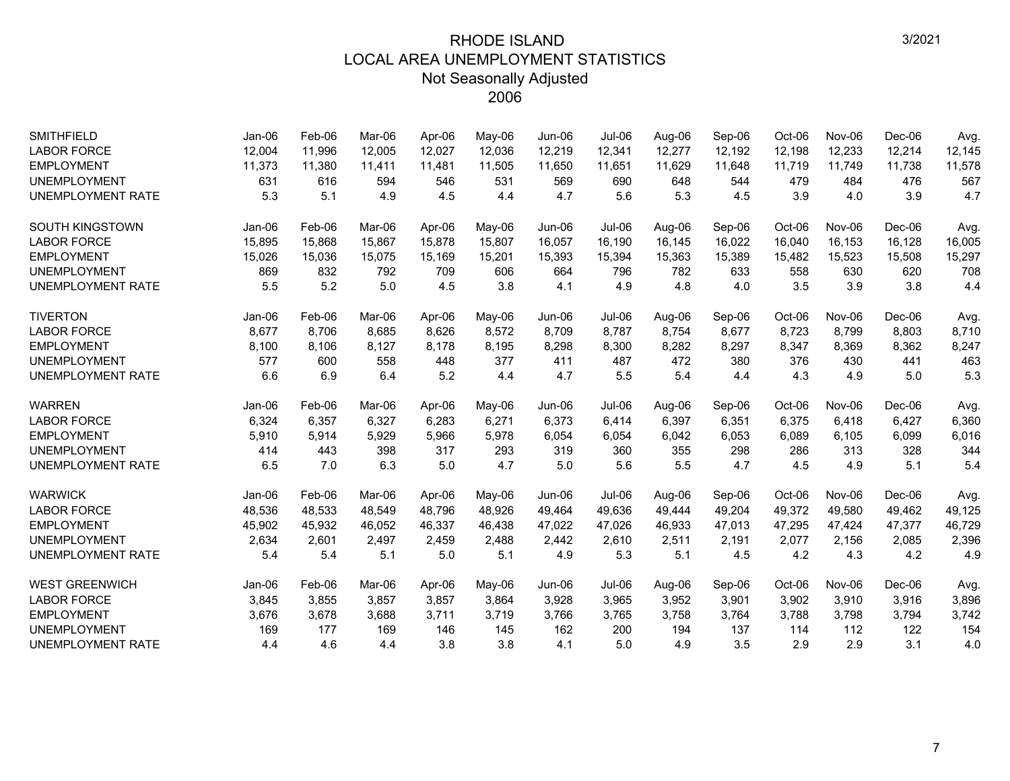| <b>SMITHFIELD</b>        | Jan-06   | Feb-06 | Mar-06 | Apr-06 | May-06 | Jun-06 | <b>Jul-06</b> | Aug-06 | Sep-06 | Oct-06 | Nov-06 | Dec-06   | Avg.   |
|--------------------------|----------|--------|--------|--------|--------|--------|---------------|--------|--------|--------|--------|----------|--------|
| <b>LABOR FORCE</b>       | 12,004   | 11,996 | 12,005 | 12.027 | 12,036 | 12,219 | 12,341        | 12,277 | 12,192 | 12,198 | 12,233 | 12,214   | 12,145 |
| <b>EMPLOYMENT</b>        | 11,373   | 11,380 | 11,411 | 11,481 | 11,505 | 11,650 | 11,651        | 11,629 | 11,648 | 11,719 | 11,749 | 11,738   | 11,578 |
| <b>UNEMPLOYMENT</b>      | 631      | 616    | 594    | 546    | 531    | 569    | 690           | 648    | 544    | 479    | 484    | 476      | 567    |
| <b>UNEMPLOYMENT RATE</b> | 5.3      | 5.1    | 4.9    | 4.5    | 4.4    | 4.7    | 5.6           | 5.3    | 4.5    | 3.9    | 4.0    | 3.9      | 4.7    |
| <b>SOUTH KINGSTOWN</b>   | $Jan-06$ | Feb-06 | Mar-06 | Apr-06 | May-06 | Jun-06 | Jul-06        | Aug-06 | Sep-06 | Oct-06 | Nov-06 | Dec-06   | Avg.   |
| <b>LABOR FORCE</b>       | 15,895   | 15,868 | 15,867 | 15,878 | 15,807 | 16,057 | 16,190        | 16,145 | 16,022 | 16,040 | 16,153 | 16,128   | 16,005 |
| <b>EMPLOYMENT</b>        | 15,026   | 15,036 | 15,075 | 15,169 | 15,201 | 15,393 | 15,394        | 15,363 | 15,389 | 15,482 | 15,523 | 15,508   | 15,297 |
| <b>UNEMPLOYMENT</b>      | 869      | 832    | 792    | 709    | 606    | 664    | 796           | 782    | 633    | 558    | 630    | 620      | 708    |
| <b>UNEMPLOYMENT RATE</b> | 5.5      | 5.2    | 5.0    | 4.5    | 3.8    | 4.1    | 4.9           | 4.8    | 4.0    | 3.5    | 3.9    | 3.8      | 4.4    |
| <b>TIVERTON</b>          | Jan-06   | Feb-06 | Mar-06 | Apr-06 | May-06 | Jun-06 | Jul-06        | Aug-06 | Sep-06 | Oct-06 | Nov-06 | Dec-06   | Avg.   |
| <b>LABOR FORCE</b>       | 8,677    | 8,706  | 8,685  | 8,626  | 8,572  | 8,709  | 8,787         | 8,754  | 8,677  | 8,723  | 8,799  | 8,803    | 8,710  |
| <b>EMPLOYMENT</b>        | 8,100    | 8,106  | 8,127  | 8,178  | 8,195  | 8,298  | 8,300         | 8,282  | 8,297  | 8,347  | 8,369  | 8,362    | 8,247  |
| <b>UNEMPLOYMENT</b>      | 577      | 600    | 558    | 448    | 377    | 411    | 487           | 472    | 380    | 376    | 430    | 441      | 463    |
| <b>UNEMPLOYMENT RATE</b> | 6.6      | 6.9    | 6.4    | 5.2    | 4.4    | 4.7    | 5.5           | 5.4    | 4.4    | 4.3    | 4.9    | 5.0      | 5.3    |
| <b>WARREN</b>            | Jan-06   | Feb-06 | Mar-06 | Apr-06 | May-06 | Jun-06 | Jul-06        | Aug-06 | Sep-06 | Oct-06 | Nov-06 | $Dec-06$ | Avg.   |
| <b>LABOR FORCE</b>       | 6,324    | 6,357  | 6,327  | 6,283  | 6,271  | 6,373  | 6,414         | 6,397  | 6,351  | 6,375  | 6,418  | 6,427    | 6,360  |
| <b>EMPLOYMENT</b>        | 5,910    | 5,914  | 5,929  | 5,966  | 5,978  | 6,054  | 6,054         | 6,042  | 6,053  | 6,089  | 6,105  | 6,099    | 6,016  |
| <b>UNEMPLOYMENT</b>      | 414      | 443    | 398    | 317    | 293    | 319    | 360           | 355    | 298    | 286    | 313    | 328      | 344    |
| <b>UNEMPLOYMENT RATE</b> | 6.5      | 7.0    | 6.3    | 5.0    | 4.7    | 5.0    | 5.6           | 5.5    | 4.7    | 4.5    | 4.9    | 5.1      | 5.4    |
| <b>WARWICK</b>           | $Jan-06$ | Feb-06 | Mar-06 | Apr-06 | May-06 | Jun-06 | $Jul-06$      | Aug-06 | Sep-06 | Oct-06 | Nov-06 | $Dec-06$ | Avg.   |
| <b>LABOR FORCE</b>       | 48,536   | 48,533 | 48,549 | 48,796 | 48,926 | 49,464 | 49,636        | 49,444 | 49,204 | 49,372 | 49,580 | 49,462   | 49,125 |
| <b>EMPLOYMENT</b>        | 45,902   | 45,932 | 46,052 | 46,337 | 46,438 | 47,022 | 47,026        | 46,933 | 47,013 | 47,295 | 47,424 | 47,377   | 46,729 |
| <b>UNEMPLOYMENT</b>      | 2,634    | 2,601  | 2,497  | 2,459  | 2,488  | 2,442  | 2,610         | 2,511  | 2,191  | 2,077  | 2,156  | 2,085    | 2,396  |
| <b>UNEMPLOYMENT RATE</b> | 5.4      | 5.4    | 5.1    | 5.0    | 5.1    | 4.9    | 5.3           | 5.1    | 4.5    | 4.2    | 4.3    | 4.2      | 4.9    |
| <b>WEST GREENWICH</b>    | $Jan-06$ | Feb-06 | Mar-06 | Apr-06 | May-06 | Jun-06 | Jul-06        | Aug-06 | Sep-06 | Oct-06 | Nov-06 | $Dec-06$ | Avg.   |
| <b>LABOR FORCE</b>       | 3,845    | 3,855  | 3,857  | 3,857  | 3,864  | 3,928  | 3,965         | 3,952  | 3,901  | 3,902  | 3,910  | 3,916    | 3,896  |
| <b>EMPLOYMENT</b>        | 3,676    | 3,678  | 3,688  | 3,711  | 3,719  | 3,766  | 3,765         | 3,758  | 3,764  | 3,788  | 3,798  | 3,794    | 3,742  |
| <b>UNEMPLOYMENT</b>      | 169      | 177    | 169    | 146    | 145    | 162    | 200           | 194    | 137    | 114    | 112    | 122      | 154    |
| <b>UNEMPLOYMENT RATE</b> | 4.4      | 4.6    | 4.4    | 3.8    | 3.8    | 4.1    | 5.0           | 4.9    | 3.5    | 2.9    | 2.9    | 3.1      | 4.0    |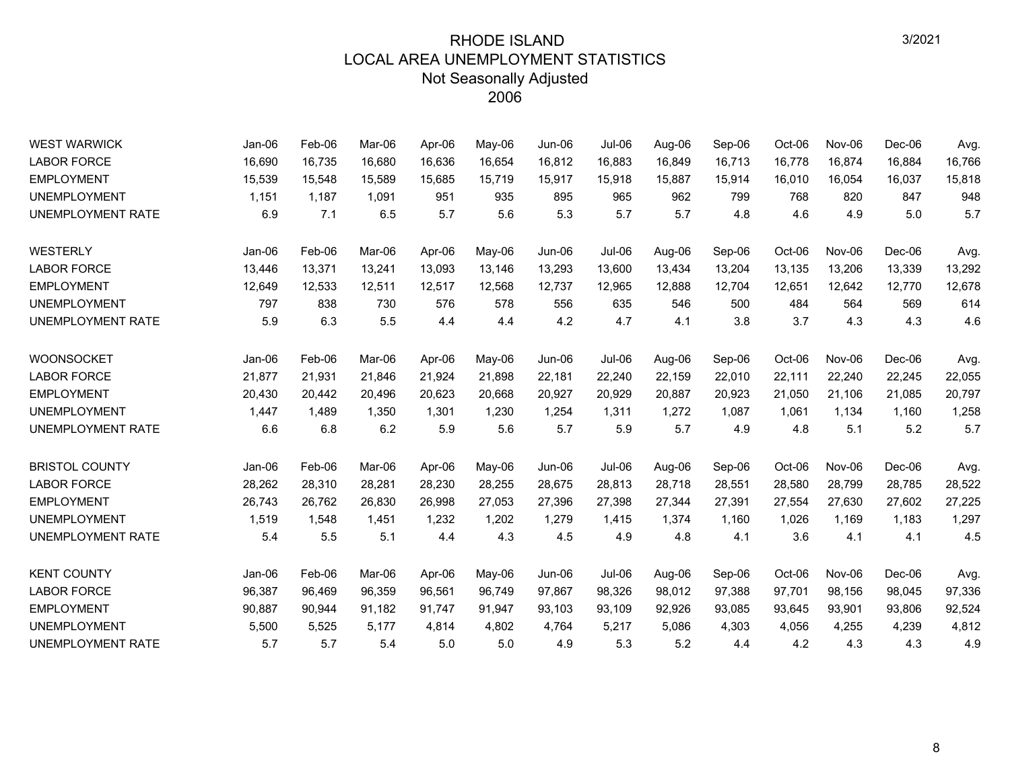| <b>WEST WARWICK</b>      | Jan-06   | Feb-06 | Mar-06 | Apr-06 | May-06 | <b>Jun-06</b> | <b>Jul-06</b> | Aug-06 | Sep-06 | Oct-06 | Nov-06        | Dec-06   | Avg.   |
|--------------------------|----------|--------|--------|--------|--------|---------------|---------------|--------|--------|--------|---------------|----------|--------|
| <b>LABOR FORCE</b>       | 16,690   | 16,735 | 16,680 | 16,636 | 16,654 | 16,812        | 16,883        | 16,849 | 16,713 | 16,778 | 16,874        | 16,884   | 16,766 |
| <b>EMPLOYMENT</b>        | 15,539   | 15,548 | 15,589 | 15,685 | 15,719 | 15,917        | 15,918        | 15,887 | 15,914 | 16,010 | 16,054        | 16,037   | 15,818 |
| <b>UNEMPLOYMENT</b>      | 1,151    | 1,187  | 1,091  | 951    | 935    | 895           | 965           | 962    | 799    | 768    | 820           | 847      | 948    |
| <b>UNEMPLOYMENT RATE</b> | 6.9      | 7.1    | 6.5    | 5.7    | 5.6    | 5.3           | 5.7           | 5.7    | 4.8    | 4.6    | 4.9           | 5.0      | 5.7    |
| WESTERLY                 | $Jan-06$ | Feb-06 | Mar-06 | Apr-06 | May-06 | Jun-06        | $Jul-06$      | Aug-06 | Sep-06 | Oct-06 | Nov-06        | $Dec-06$ | Avg.   |
| <b>LABOR FORCE</b>       | 13,446   | 13,371 | 13,241 | 13,093 | 13,146 | 13,293        | 13,600        | 13,434 | 13,204 | 13,135 | 13,206        | 13,339   | 13,292 |
| <b>EMPLOYMENT</b>        | 12,649   | 12,533 | 12,511 | 12,517 | 12,568 | 12,737        | 12,965        | 12,888 | 12,704 | 12,651 | 12,642        | 12,770   | 12,678 |
| <b>UNEMPLOYMENT</b>      | 797      | 838    | 730    | 576    | 578    | 556           | 635           | 546    | 500    | 484    | 564           | 569      | 614    |
| UNEMPLOYMENT RATE        | 5.9      | 6.3    | 5.5    | 4.4    | 4.4    | 4.2           | 4.7           | 4.1    | 3.8    | 3.7    | 4.3           | 4.3      | 4.6    |
| <b>WOONSOCKET</b>        | $Jan-06$ | Feb-06 | Mar-06 | Apr-06 | May-06 | Jun-06        | $Jul-06$      | Aug-06 | Sep-06 | Oct-06 | Nov-06        | $Dec-06$ | Avg.   |
| <b>LABOR FORCE</b>       | 21,877   | 21,931 | 21,846 | 21,924 | 21,898 | 22,181        | 22,240        | 22,159 | 22,010 | 22,111 | 22,240        | 22,245   | 22,055 |
| <b>EMPLOYMENT</b>        | 20,430   | 20,442 | 20,496 | 20,623 | 20,668 | 20,927        | 20,929        | 20,887 | 20,923 | 21,050 | 21,106        | 21,085   | 20,797 |
| <b>UNEMPLOYMENT</b>      | 1,447    | 1,489  | 1,350  | 1,301  | 1,230  | 1,254         | 1,311         | 1,272  | 1,087  | 1,061  | 1,134         | 1,160    | 1,258  |
| UNEMPLOYMENT RATE        | 6.6      | 6.8    | 6.2    | 5.9    | 5.6    | 5.7           | 5.9           | 5.7    | 4.9    | 4.8    | 5.1           | 5.2      | 5.7    |
| <b>BRISTOL COUNTY</b>    | Jan-06   | Feb-06 | Mar-06 | Apr-06 | May-06 | Jun-06        | Jul-06        | Aug-06 | Sep-06 | Oct-06 | Nov-06        | Dec-06   | Avg.   |
| <b>LABOR FORCE</b>       | 28,262   | 28,310 | 28,281 | 28,230 | 28,255 | 28,675        | 28,813        | 28,718 | 28,551 | 28,580 | 28,799        | 28,785   | 28,522 |
| <b>EMPLOYMENT</b>        | 26,743   | 26,762 | 26,830 | 26,998 | 27,053 | 27,396        | 27,398        | 27,344 | 27,391 | 27,554 | 27,630        | 27,602   | 27,225 |
| <b>UNEMPLOYMENT</b>      | 1,519    | 1,548  | 1,451  | 1,232  | 1,202  | 1,279         | 1,415         | 1,374  | 1,160  | 1,026  | 1,169         | 1,183    | 1,297  |
| UNEMPLOYMENT RATE        | 5.4      | 5.5    | 5.1    | 4.4    | 4.3    | 4.5           | 4.9           | 4.8    | 4.1    | 3.6    | 4.1           | 4.1      | 4.5    |
| <b>KENT COUNTY</b>       | Jan-06   | Feb-06 | Mar-06 | Apr-06 | May-06 | Jun-06        | Jul-06        | Aug-06 | Sep-06 | Oct-06 | <b>Nov-06</b> | Dec-06   | Avg.   |
| <b>LABOR FORCE</b>       | 96,387   | 96,469 | 96,359 | 96,561 | 96,749 | 97,867        | 98,326        | 98,012 | 97,388 | 97,701 | 98,156        | 98,045   | 97,336 |
| <b>EMPLOYMENT</b>        | 90,887   | 90,944 | 91,182 | 91,747 | 91,947 | 93,103        | 93,109        | 92,926 | 93,085 | 93,645 | 93,901        | 93,806   | 92,524 |
| <b>UNEMPLOYMENT</b>      | 5,500    | 5,525  | 5.177  | 4,814  | 4,802  | 4,764         | 5,217         | 5,086  | 4,303  | 4,056  | 4,255         | 4,239    | 4,812  |
| UNEMPLOYMENT RATE        | 5.7      | 5.7    | 5.4    | 5.0    | 5.0    | 4.9           | 5.3           | 5.2    | 4.4    | 4.2    | 4.3           | 4.3      | 4.9    |